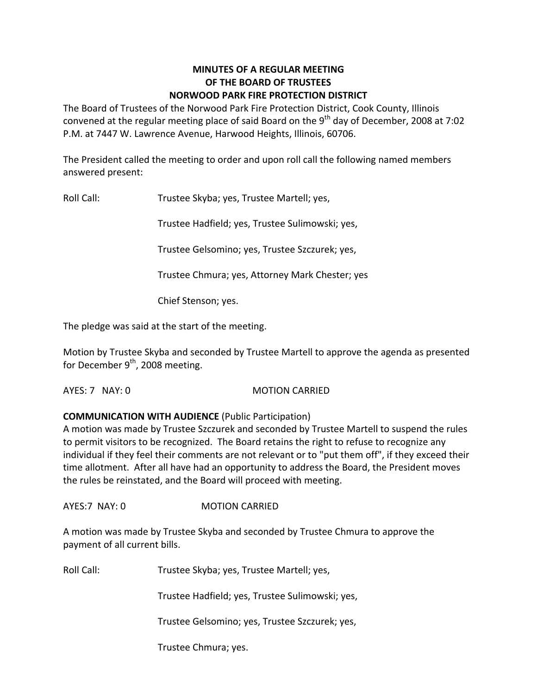## **MINUTES OF A REGULAR MEETING OF THE BOARD OF TRUSTEES NORWOOD PARK FIRE PROTECTION DISTRICT**

The Board of Trustees of the Norwood Park Fire Protection District, Cook County, Illinois convened at the regular meeting place of said Board on the 9<sup>th</sup> day of December, 2008 at 7:02 P.M. at 7447 W. Lawrence Avenue, Harwood Heights, Illinois, 60706.

The President called the meeting to order and upon roll call the following named members answered present:

Roll Call: Trustee Skyba; yes, Trustee Martell; yes,

Trustee Hadfield; yes, Trustee Sulimowski; yes,

Trustee Gelsomino; yes, Trustee Szczurek; yes,

Trustee Chmura; yes, Attorney Mark Chester; yes

Chief Stenson; yes.

The pledge was said at the start of the meeting.

Motion by Trustee Skyba and seconded by Trustee Martell to approve the agenda as presented for December 9<sup>th</sup>, 2008 meeting.

AYES: 7 NAY: 0 MOTION CARRIED

# **COMMUNICATION WITH AUDIENCE** (Public Participation)

A motion was made by Trustee Szczurek and seconded by Trustee Martell to suspend the rules to permit visitors to be recognized. The Board retains the right to refuse to recognize any individual if they feel their comments are not relevant or to "put them off", if they exceed their time allotment. After all have had an opportunity to address the Board, the President moves the rules be reinstated, and the Board will proceed with meeting.

AYES:7 NAY: 0 **MOTION CARRIED** 

A motion was made by Trustee Skyba and seconded by Trustee Chmura to approve the payment of all current bills.

Roll Call: Trustee Skyba; yes, Trustee Martell; yes,

Trustee Hadfield; yes, Trustee Sulimowski; yes,

Trustee Gelsomino; yes, Trustee Szczurek; yes,

Trustee Chmura; yes.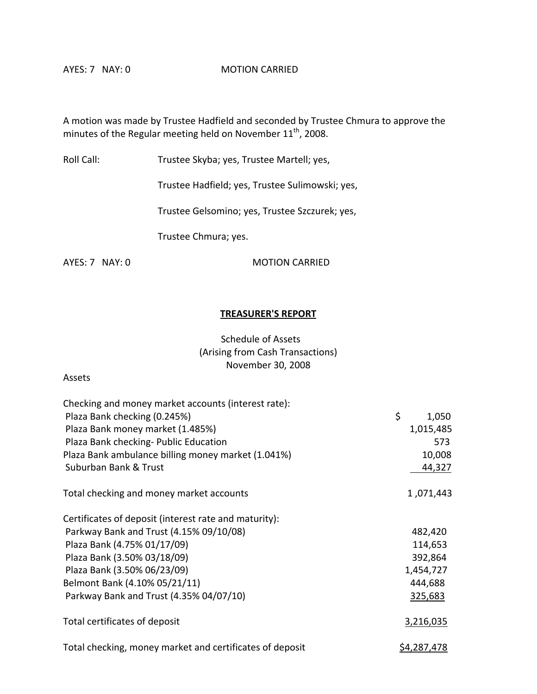A motion was made by Trustee Hadfield and seconded by Trustee Chmura to approve the minutes of the Regular meeting held on November  $11^{\text{th}}$ , 2008.

Roll Call: Trustee Skyba; yes, Trustee Martell; yes,

Trustee Hadfield; yes, Trustee Sulimowski; yes,

Trustee Gelsomino; yes, Trustee Szczurek; yes,

Trustee Chmura; yes.

AYES: 7 NAY: 0 MOTION CARRIED

### **TREASURER'S REPORT**

Schedule of Assets (Arising from Cash Transactions) November 30, 2008

#### Assets

| Checking and money market accounts (interest rate):      |                    |
|----------------------------------------------------------|--------------------|
| Plaza Bank checking (0.245%)                             | \$<br>1,050        |
| Plaza Bank money market (1.485%)                         | 1,015,485          |
| Plaza Bank checking- Public Education                    | 573                |
| Plaza Bank ambulance billing money market (1.041%)       | 10,008             |
| Suburban Bank & Trust                                    | 44,327             |
| Total checking and money market accounts                 | 1,071,443          |
| Certificates of deposit (interest rate and maturity):    |                    |
| Parkway Bank and Trust (4.15% 09/10/08)                  | 482,420            |
| Plaza Bank (4.75% 01/17/09)                              | 114,653            |
| Plaza Bank (3.50% 03/18/09)                              | 392,864            |
| Plaza Bank (3.50% 06/23/09)                              | 1,454,727          |
| Belmont Bank (4.10% 05/21/11)                            | 444,688            |
| Parkway Bank and Trust (4.35% 04/07/10)                  | 325,683            |
| Total certificates of deposit                            | 3,216,035          |
| Total checking, money market and certificates of deposit | <u>\$4,287,478</u> |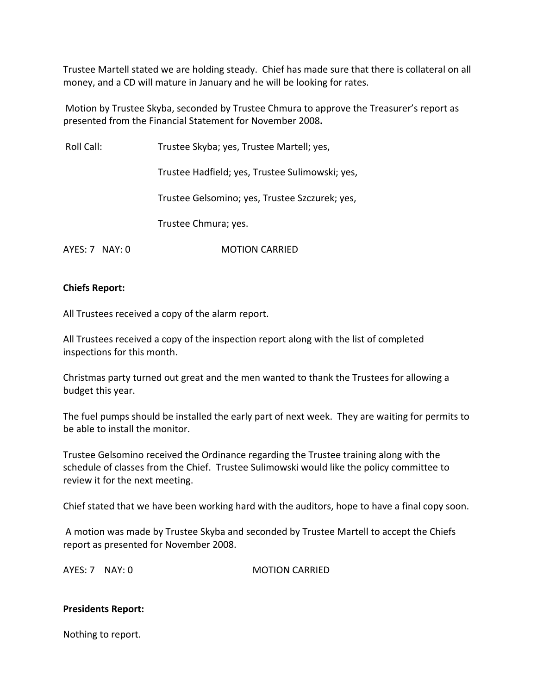Trustee Martell stated we are holding steady. Chief has made sure that there is collateral on all money, and a CD will mature in January and he will be looking for rates.

Motion by Trustee Skyba, seconded by Trustee Chmura to approve the Treasurer's report as presented from the Financial Statement for November 2008**.**

Roll Call: Trustee Skyba; yes, Trustee Martell; yes,

Trustee Hadfield; yes, Trustee Sulimowski; yes,

Trustee Gelsomino; yes, Trustee Szczurek; yes,

Trustee Chmura; yes.

AYES: 7 NAY: 0 **MOTION CARRIED** 

#### **Chiefs Report:**

All Trustees received a copy of the alarm report.

All Trustees received a copy of the inspection report along with the list of completed inspections for this month.

Christmas party turned out great and the men wanted to thank the Trustees for allowing a budget this year.

The fuel pumps should be installed the early part of next week. They are waiting for permits to be able to install the monitor.

Trustee Gelsomino received the Ordinance regarding the Trustee training along with the schedule of classes from the Chief. Trustee Sulimowski would like the policy committee to review it for the next meeting.

Chief stated that we have been working hard with the auditors, hope to have a final copy soon.

A motion was made by Trustee Skyba and seconded by Trustee Martell to accept the Chiefs report as presented for November 2008.

AYES: 7 NAY: 0 MOTION CARRIED

## **Presidents Report:**

Nothing to report.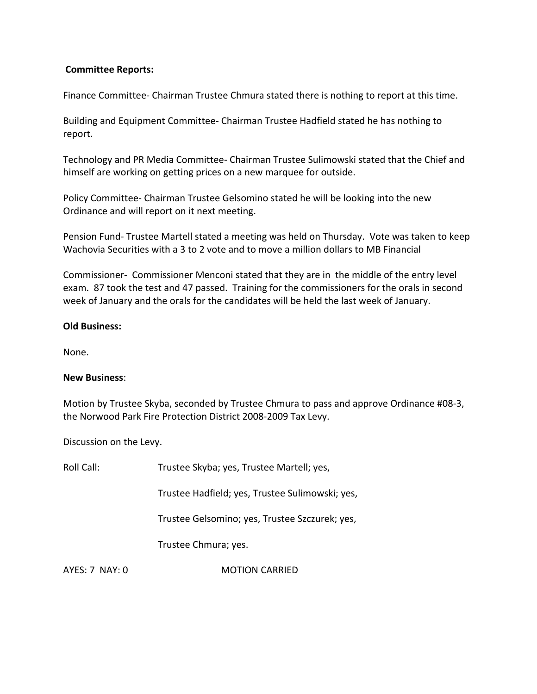## **Committee Reports:**

Finance Committee‐ Chairman Trustee Chmura stated there is nothing to report at this time.

Building and Equipment Committee‐ Chairman Trustee Hadfield stated he has nothing to report.

Technology and PR Media Committee‐ Chairman Trustee Sulimowski stated that the Chief and himself are working on getting prices on a new marquee for outside.

Policy Committee‐ Chairman Trustee Gelsomino stated he will be looking into the new Ordinance and will report on it next meeting.

Pension Fund‐ Trustee Martell stated a meeting was held on Thursday. Vote was taken to keep Wachovia Securities with a 3 to 2 vote and to move a million dollars to MB Financial

Commissioner‐ Commissioner Menconi stated that they are in the middle of the entry level exam. 87 took the test and 47 passed. Training for the commissioners for the orals in second week of January and the orals for the candidates will be held the last week of January.

#### **Old Business:**

None.

## **New Business**:

Motion by Trustee Skyba, seconded by Trustee Chmura to pass and approve Ordinance #08‐3, the Norwood Park Fire Protection District 2008‐2009 Tax Levy.

Discussion on the Levy.

| Roll Call:     | Trustee Skyba; yes, Trustee Martell; yes,       |
|----------------|-------------------------------------------------|
|                | Trustee Hadfield; yes, Trustee Sulimowski; yes, |
|                | Trustee Gelsomino; yes, Trustee Szczurek; yes,  |
|                | Trustee Chmura; yes.                            |
| AYES: 7 NAY: 0 | <b>MOTION CARRIED</b>                           |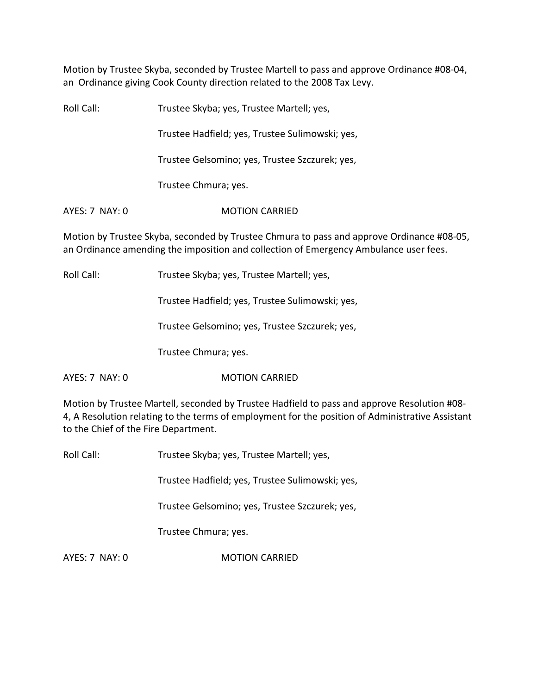Motion by Trustee Skyba, seconded by Trustee Martell to pass and approve Ordinance #08‐04, an Ordinance giving Cook County direction related to the 2008 Tax Levy.

Roll Call: Trustee Skyba; yes, Trustee Martell; yes,

Trustee Hadfield; yes, Trustee Sulimowski; yes,

Trustee Gelsomino; yes, Trustee Szczurek; yes,

Trustee Chmura; yes.

AYES: 7 NAY: 0 **MOTION CARRIED** 

Motion by Trustee Skyba, seconded by Trustee Chmura to pass and approve Ordinance #08‐05, an Ordinance amending the imposition and collection of Emergency Ambulance user fees.

Roll Call: Trustee Skyba; yes, Trustee Martell; yes,

Trustee Hadfield; yes, Trustee Sulimowski; yes,

Trustee Gelsomino; yes, Trustee Szczurek; yes,

Trustee Chmura; yes.

AYES: 7 NAY: 0 **MOTION CARRIED** 

Motion by Trustee Martell, seconded by Trustee Hadfield to pass and approve Resolution #08‐ 4, A Resolution relating to the terms of employment for the position of Administrative Assistant to the Chief of the Fire Department.

Roll Call: Trustee Skyba; yes, Trustee Martell; yes,

Trustee Hadfield; yes, Trustee Sulimowski; yes,

Trustee Gelsomino; yes, Trustee Szczurek; yes,

Trustee Chmura; yes.

AYES: 7 NAY: 0 **MOTION CARRIED**